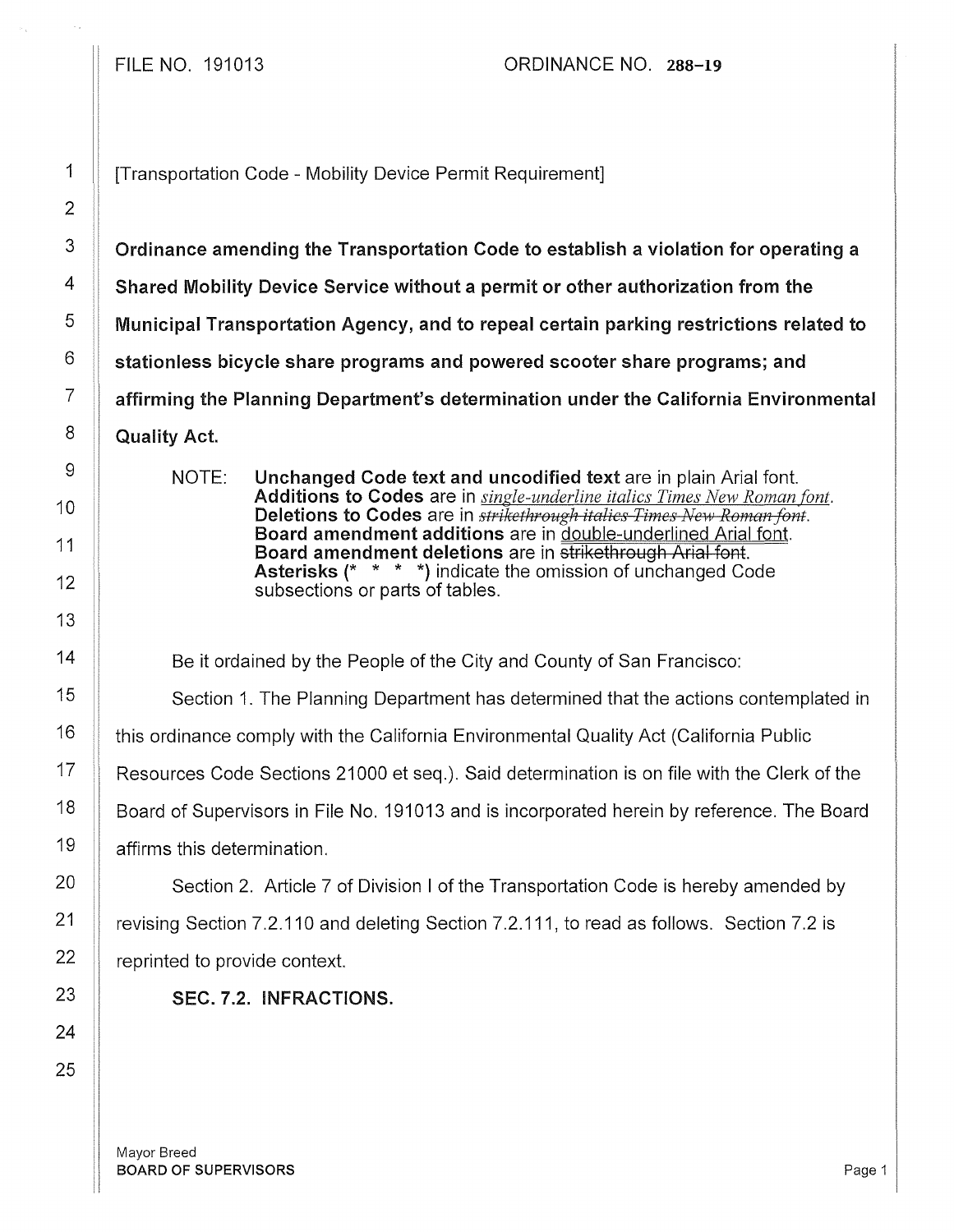1 | Transportation Code - Mobility Device Permit Requirement]

 $3 \parallel$  Ordinance amending the Transportation Code to establish a violation for operating a 4 Shared Mobility Device Service without a permit or other authorization from the  $\mathcal{F}$   $\parallel$  Municipal Transportation Agency, and to repeal certain parking restrictions related to  $\delta$   $\parallel$  stationless bicycle share programs and powered scooter share programs; and  $7$   $\parallel$  affirming the Planning Department's determination under the California Environmental  $8$  Quality Act.

> NOTE: Unchanged Code text and uncodified text are in plain Arial font. Additions to Codes are in *single-underline italics Times New Roman font.*  Deletions to Codes are in *strikethrough italics Times New Roman font.* Board amendment additions are in double-underlined Arial font. Board amendment deletions are in strikethrough Arial font. Asterisks (\* \* \* \*) indicate the omission of unchanged Code subsections or parts of tables.

 $14$   $\parallel$  Be it ordained by the People of the City and County of San Francisco:

15 | Section 1. The Planning Department has determined that the actions contemplated in

16  $\parallel$  this ordinance comply with the California Environmental Quality Act (California Public

17  $\parallel$  Resources Code Sections 21000 et seq.). Said determination is on file with the Clerk of the

 $18$  | Board of Supervisors in File No. 191013 and is incorporated herein by reference. The Board  $19$  | affirms this determination.

20  $\parallel$  Section 2. Article 7 of Division I of the Transportation Code is hereby amended by 21 Crevising Section 7.2.110 and deleting Section 7.2.111, to read as follows. Section 7.2 is  $22$  | reprinted to provide context.

23 SEC. 7.2. INFRACTIONS.

Mayor Breed **BOARD OF SUPERVISORS** Page 1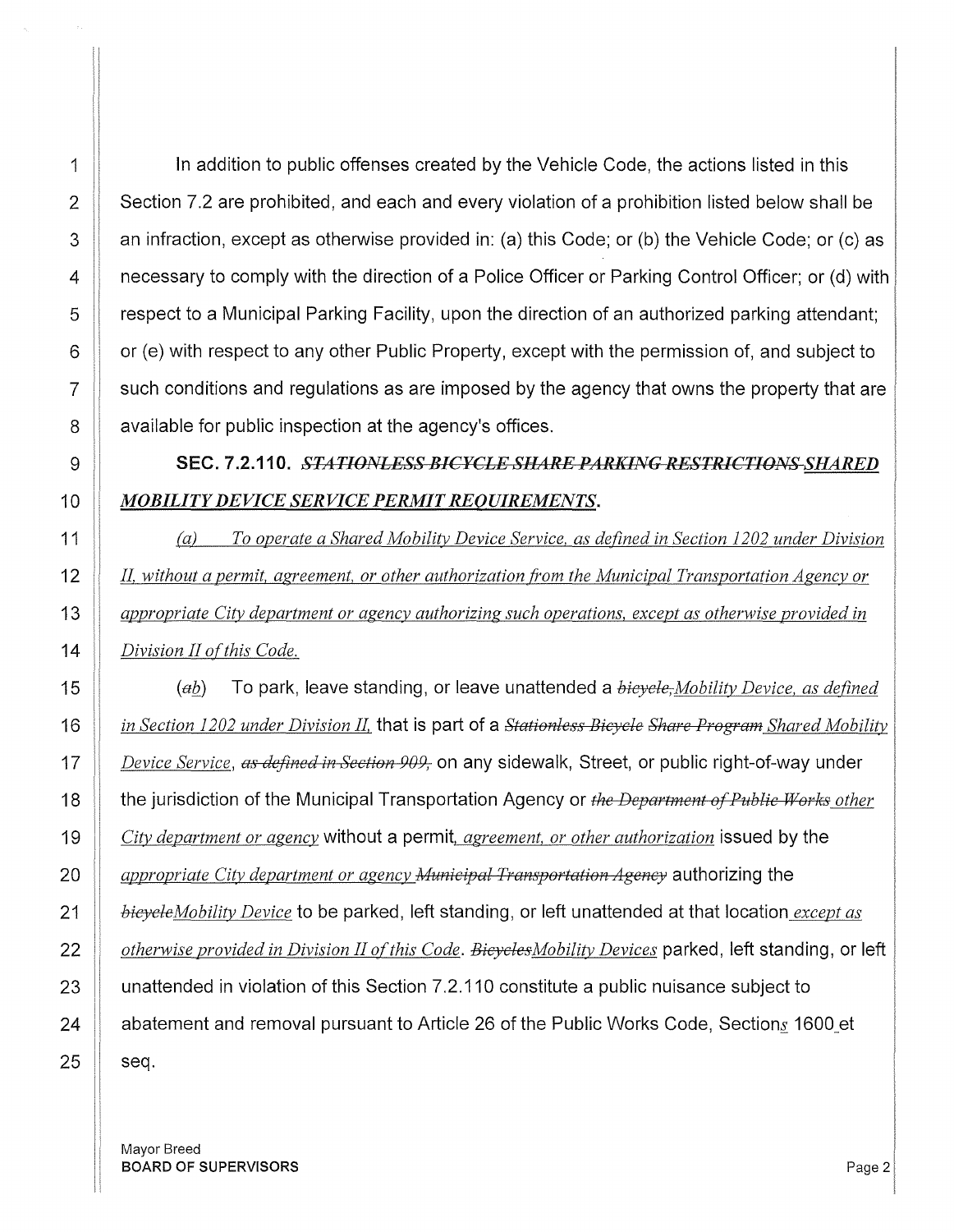1 | In addition to public offenses created by the Vehicle Code, the actions listed in this 2 Section 7.2 are prohibited, and each and every violation of a prohibition listed below shall be  $3 \parallel$  an infraction, except as otherwise provided in: (a) this Code; or (b) the Vehicle Code; or (c) as **4 necessary to comply with the direction of a Police Officer or Parking Control Officer; or (d) with** 5 respect to a Municipal Parking Facility, upon the direction of an authorized parking attendant;  $6 \parallel$  or (e) with respect to any other Public Property, except with the permission of, and subject to  $7 \parallel$  such conditions and regulations as are imposed by the agency that owns the property that are **a** available for public inspection at the agency's offices.

## 9 SEC. 7.2.110. *STATIONLESS BICYCLE SHARE PARKING RESTRICTIONS SHARED MOBILITY DEVICE SERVICE PERMIT REQUIREMENTS.*

(a) *To operate a Shared Mobility Device Service, as defined in Section 1202 under Division JI, without a permit, agreement, or other authorization from the Municipal Transportation Agency or appropriate City department or agency authorizing such operations, except as otherwise provided in Division II ofthis Code.* 

*(ab..)* To park, leave standing, or leave unattended a *bicycle,Mobility Device, as defined in Section 1202 under Division JI,* that is part of a *Stetionless Bicycle Share Program Shared Mobility*  **Device Service**, as defined in Section 909, on any sidewalk, Street, or public right-of-way under **the jurisdiction of the Municipal Transportation Agency or** the Department of Public Works other *City department or agency* without a permit, *agreement, or other authorization* issued by the *appropriate City department or agency A1unicipal Transportation Agency* authorizing the *bicycleMobility Device* to be parked, left standing, or left unattended at that location *except as determise provided in Division II of this Code. Bicycles Mobility Devices* parked, left standing, or left 23 | unattended in violation of this Section 7.2.110 constitute a public nuisance subject to  $\parallel$  abatement and removal pursuant to Article 26 of the Public Works Code, Sections 1600 et seq.

Mayor Breed **BOARD OF SUPERVISORS** Page 2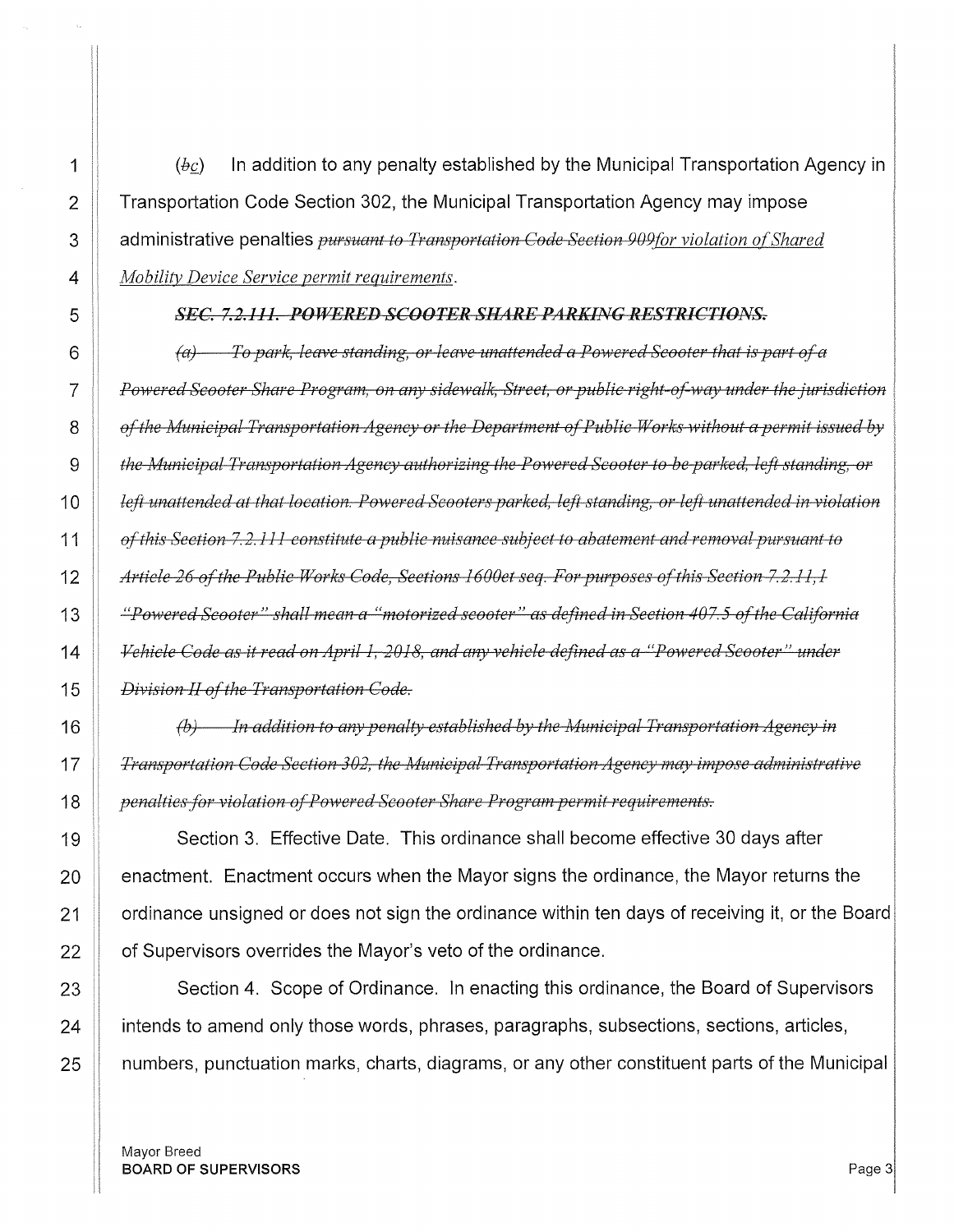$\parallel$  (bc) In addition to any penalty established by the Municipal Transportation Agency in 2 Transportation Code Section 302, the Municipal Transportation Agency may impose 3 | administrative penalties *pursuant to Transportation Code Section 909 for violation of Shared Mobility Device Service permit requirements.* 

### **SEC. 7.2.111. POWERED SCOOTER SHARE PARKING RESTRICTIONS.**

**(a)** To park, leave standing, or leave unattended a Powered Scooter that is part of a *Powered Scooter Share Program, on any sidewalk, Street, or public right-of-way under the jurisdiction* $\overline{a}$ *of the Municipal Transportation Agency or the Department of Public Works without a permit issued by**the Municipal Transportation Agency authorizing the Powered Scooter to be parked, left standing, or left unattended at that location. Powered Scooters parked, left standing, or left unattended in violation of this Section 7.2.111 constitute a public nuisance subject to abatement and removal pursuant to* **Article 26 of the Public Works Code, Sections 1600et seq. For purposes of this Section 7.2.11, 1** *"Powered Scooter" shall mean a "motorized scooter" as defined in Section 407. 5 of the California Vehicle Code as it read on April 1, 2018, and any vehicle defined as a "Powered Scooter" under Division II of the Transportation Code.* 

*(b) In addition to any penalty established by the Municipal Transportation Agency in*  **T** *Transportation Code Section 302, the Municipal Transportation Agency may impose administrative penalties for violation of Powered Scooter Share Program permit requirements.* 

19 Section 3. Effective Date. This ordinance shall become effective 30 days after  $\parallel$  enactment. Enactment occurs when the Mayor signs the ordinance, the Mayor returns the |  $\pm$  ordinance unsigned or does not sign the ordinance within ten days of receiving it, or the Board  $\parallel$  of Supervisors overrides the Mayor's veto of the ordinance.

23 Section 4. Scope of Ordinance. In enacting this ordinance, the Board of Supervisors  $\parallel$  intends to amend only those words, phrases, paragraphs, subsections, sections, articles, **I** numbers, punctuation marks, charts, diagrams, or any other constituent parts of the Municipal

Mayor Breed BOARD OF SUPERVISORS And the state of the state of the state of the state of the state of the state of the state of the state of the state of the state of the state of the state of the state of the state of the state of th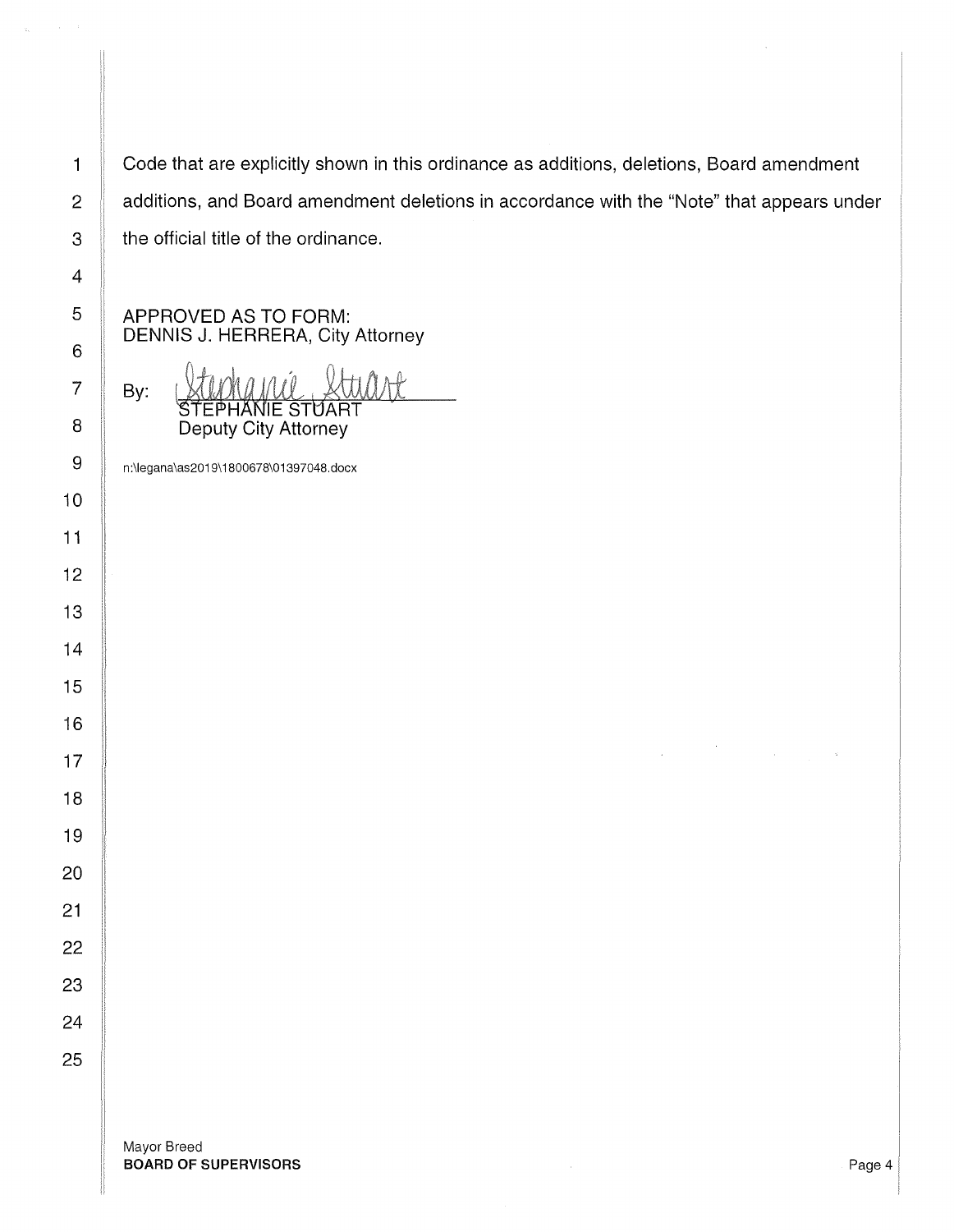Code that are explicitly shown in this ordinance as additions, deletions, Board amendment additions, and Board amendment deletions in accordance with the "Note" that appears under the official title of the ordinance.

APPROVED AS TO FORM: DENNIS J. HERRERA, City Attorney

By: ll IE STUART Deputy City Attorney

n:\legana\as2019\ 1800678\01397048.docx

Mayor Breed BOARD OF SUPERVISORS **Page 4** 

II II I! II

ii

II

'! ii

ii

II

ii II 'I

II

11

I

II

'I

ii

II I' ,[ Ii

> $\overline{\phantom{a}}$ I